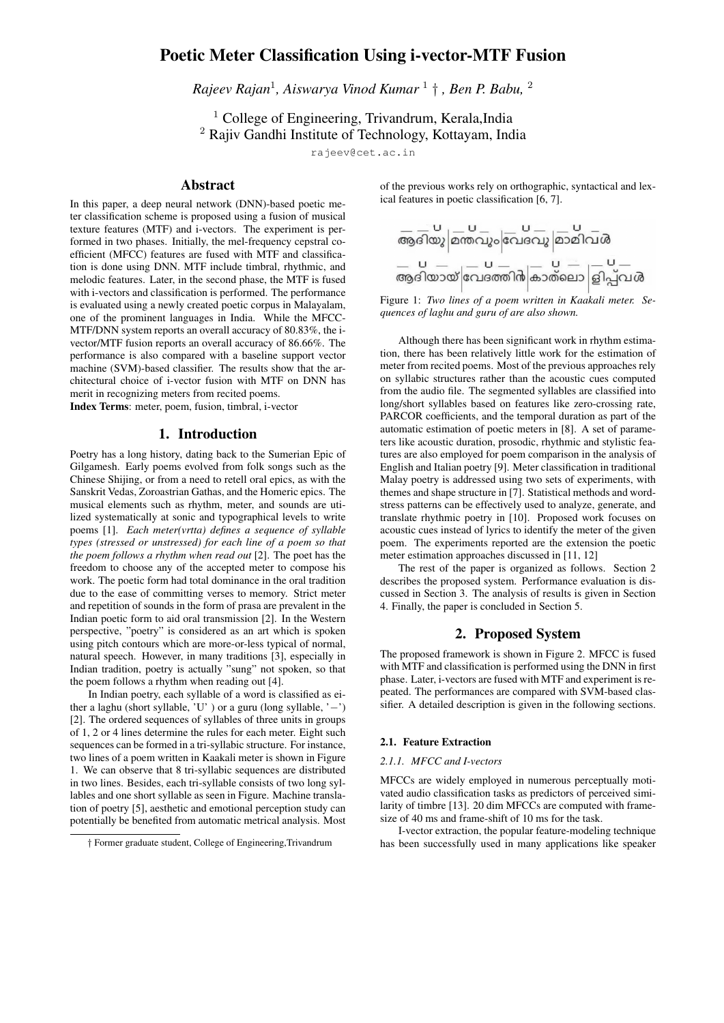# Poetic Meter Classification Using i-vector-MTF Fusion

*Rajeev Rajan*<sup>1</sup> *, Aiswarya Vinod Kumar* <sup>1</sup> † *, Ben P. Babu,* <sup>2</sup>

 $<sup>1</sup>$  College of Engineering, Trivandrum, Kerala, India</sup> <sup>2</sup> Rajiv Gandhi Institute of Technology, Kottayam, India

rajeev@cet.ac.in

# Abstract

In this paper, a deep neural network (DNN)-based poetic meter classification scheme is proposed using a fusion of musical texture features (MTF) and i-vectors. The experiment is performed in two phases. Initially, the mel-frequency cepstral coefficient (MFCC) features are fused with MTF and classification is done using DNN. MTF include timbral, rhythmic, and melodic features. Later, in the second phase, the MTF is fused with i-vectors and classification is performed. The performance is evaluated using a newly created poetic corpus in Malayalam, one of the prominent languages in India. While the MFCC-MTF/DNN system reports an overall accuracy of 80.83%, the ivector/MTF fusion reports an overall accuracy of 86.66%. The performance is also compared with a baseline support vector machine (SVM)-based classifier. The results show that the architectural choice of i-vector fusion with MTF on DNN has merit in recognizing meters from recited poems.

Index Terms: meter, poem, fusion, timbral, i-vector

### 1. Introduction

Poetry has a long history, dating back to the Sumerian Epic of Gilgamesh. Early poems evolved from folk songs such as the Chinese Shijing, or from a need to retell oral epics, as with the Sanskrit Vedas, Zoroastrian Gathas, and the Homeric epics. The musical elements such as rhythm, meter, and sounds are utilized systematically at sonic and typographical levels to write poems [1]. *Each meter(vrtta) defines a sequence of syllable types (stressed or unstressed) for each line of a poem so that the poem follows a rhythm when read out* [2]. The poet has the freedom to choose any of the accepted meter to compose his work. The poetic form had total dominance in the oral tradition due to the ease of committing verses to memory. Strict meter and repetition of sounds in the form of prasa are prevalent in the Indian poetic form to aid oral transmission [2]. In the Western perspective, "poetry" is considered as an art which is spoken using pitch contours which are more-or-less typical of normal, natural speech. However, in many traditions [3], especially in Indian tradition, poetry is actually "sung" not spoken, so that the poem follows a rhythm when reading out [4].

In Indian poetry, each syllable of a word is classified as either a laghu (short syllable,  $'U'$ ) or a guru (long syllable,  $'$  –') [2]. The ordered sequences of syllables of three units in groups of 1, 2 or 4 lines determine the rules for each meter. Eight such sequences can be formed in a tri-syllabic structure. For instance, two lines of a poem written in Kaakali meter is shown in Figure 1. We can observe that 8 tri-syllabic sequences are distributed in two lines. Besides, each tri-syllable consists of two long syllables and one short syllable as seen in Figure. Machine translation of poetry [5], aesthetic and emotional perception study can potentially be benefited from automatic metrical analysis. Most of the previous works rely on orthographic, syntactical and lexical features in poetic classification [6, 7].

Figure 1: *Two lines of a poem written in Kaakali meter. Sequences of laghu and guru of are also shown.*

Although there has been significant work in rhythm estimation, there has been relatively little work for the estimation of meter from recited poems. Most of the previous approaches rely on syllabic structures rather than the acoustic cues computed from the audio file. The segmented syllables are classified into long/short syllables based on features like zero-crossing rate, PARCOR coefficients, and the temporal duration as part of the automatic estimation of poetic meters in [8]. A set of parameters like acoustic duration, prosodic, rhythmic and stylistic features are also employed for poem comparison in the analysis of English and Italian poetry [9]. Meter classification in traditional Malay poetry is addressed using two sets of experiments, with themes and shape structure in [7]. Statistical methods and wordstress patterns can be effectively used to analyze, generate, and translate rhythmic poetry in [10]. Proposed work focuses on acoustic cues instead of lyrics to identify the meter of the given poem. The experiments reported are the extension the poetic meter estimation approaches discussed in [11, 12]

The rest of the paper is organized as follows. Section 2 describes the proposed system. Performance evaluation is discussed in Section 3. The analysis of results is given in Section 4. Finally, the paper is concluded in Section 5.

### 2. Proposed System

The proposed framework is shown in Figure 2. MFCC is fused with MTF and classification is performed using the DNN in first phase. Later, i-vectors are fused with MTF and experiment is repeated. The performances are compared with SVM-based classifier. A detailed description is given in the following sections.

#### 2.1. Feature Extraction

#### *2.1.1. MFCC and I-vectors*

MFCCs are widely employed in numerous perceptually motivated audio classification tasks as predictors of perceived similarity of timbre [13]. 20 dim MFCCs are computed with framesize of 40 ms and frame-shift of 10 ms for the task.

I-vector extraction, the popular feature-modeling technique has been successfully used in many applications like speaker

<sup>†</sup> Former graduate student, College of Engineering,Trivandrum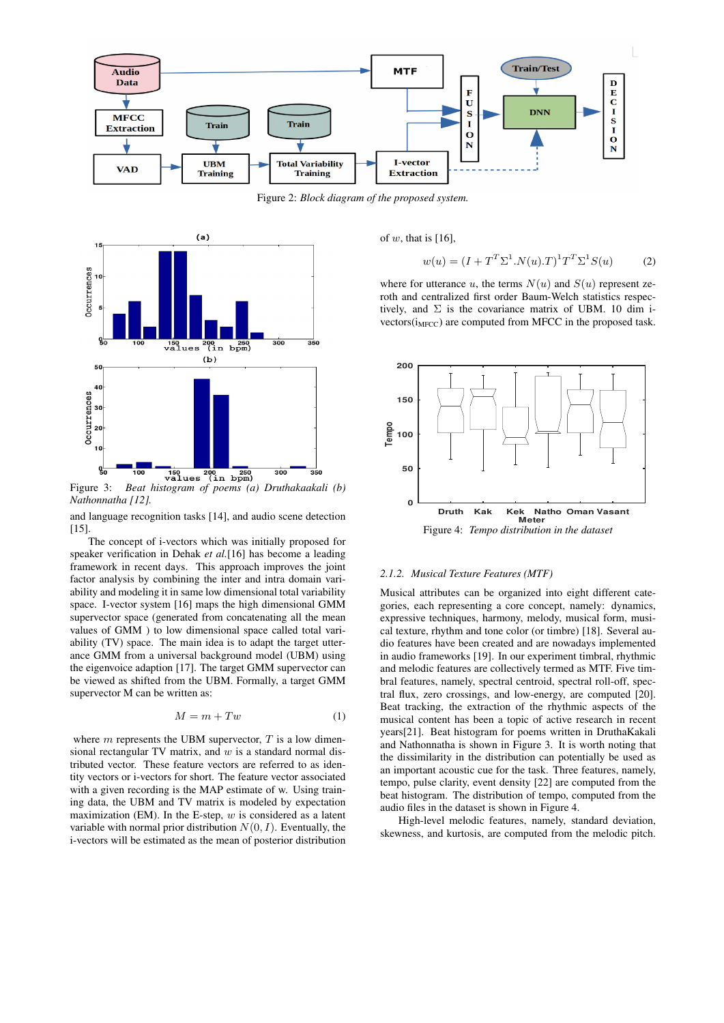

Figure 2: *Block diagram of the proposed system.*



*Nathonnatha [12].*

and language recognition tasks [14], and audio scene detection [15].

The concept of i-vectors which was initially proposed for speaker verification in Dehak *et al.*[16] has become a leading framework in recent days. This approach improves the joint factor analysis by combining the inter and intra domain variability and modeling it in same low dimensional total variability space. I-vector system [16] maps the high dimensional GMM supervector space (generated from concatenating all the mean values of GMM ) to low dimensional space called total variability (TV) space. The main idea is to adapt the target utterance GMM from a universal background model (UBM) using the eigenvoice adaption [17]. The target GMM supervector can be viewed as shifted from the UBM. Formally, a target GMM supervector M can be written as:

$$
M = m + Tw \tag{1}
$$

where  $m$  represents the UBM supervector,  $T$  is a low dimensional rectangular TV matrix, and  $w$  is a standard normal distributed vector. These feature vectors are referred to as identity vectors or i-vectors for short. The feature vector associated with a given recording is the MAP estimate of w. Using training data, the UBM and TV matrix is modeled by expectation maximization (EM). In the E-step,  $w$  is considered as a latent variable with normal prior distribution  $N(0, I)$ . Eventually, the i-vectors will be estimated as the mean of posterior distribution of  $w$ , that is [16],

$$
w(u) = (I + T^T \Sigma^1 . N(u).T)^1 T^T \Sigma^1 S(u)
$$
 (2)

where for utterance u, the terms  $N(u)$  and  $S(u)$  represent zeroth and centralized first order Baum-Welch statistics respectively, and  $\Sigma$  is the covariance matrix of UBM. 10 dim i $vectors(i_{MFCC})$  are computed from MFCC in the proposed task.



### *2.1.2. Musical Texture Features (MTF)*

Musical attributes can be organized into eight different categories, each representing a core concept, namely: dynamics, expressive techniques, harmony, melody, musical form, musical texture, rhythm and tone color (or timbre) [18]. Several audio features have been created and are nowadays implemented in audio frameworks [19]. In our experiment timbral, rhythmic and melodic features are collectively termed as MTF. Five timbral features, namely, spectral centroid, spectral roll-off, spectral flux, zero crossings, and low-energy, are computed [20]. Beat tracking, the extraction of the rhythmic aspects of the musical content has been a topic of active research in recent years[21]. Beat histogram for poems written in DruthaKakali and Nathonnatha is shown in Figure 3. It is worth noting that the dissimilarity in the distribution can potentially be used as an important acoustic cue for the task. Three features, namely, tempo, pulse clarity, event density [22] are computed from the beat histogram. The distribution of tempo, computed from the audio files in the dataset is shown in Figure 4.

High-level melodic features, namely, standard deviation, skewness, and kurtosis, are computed from the melodic pitch.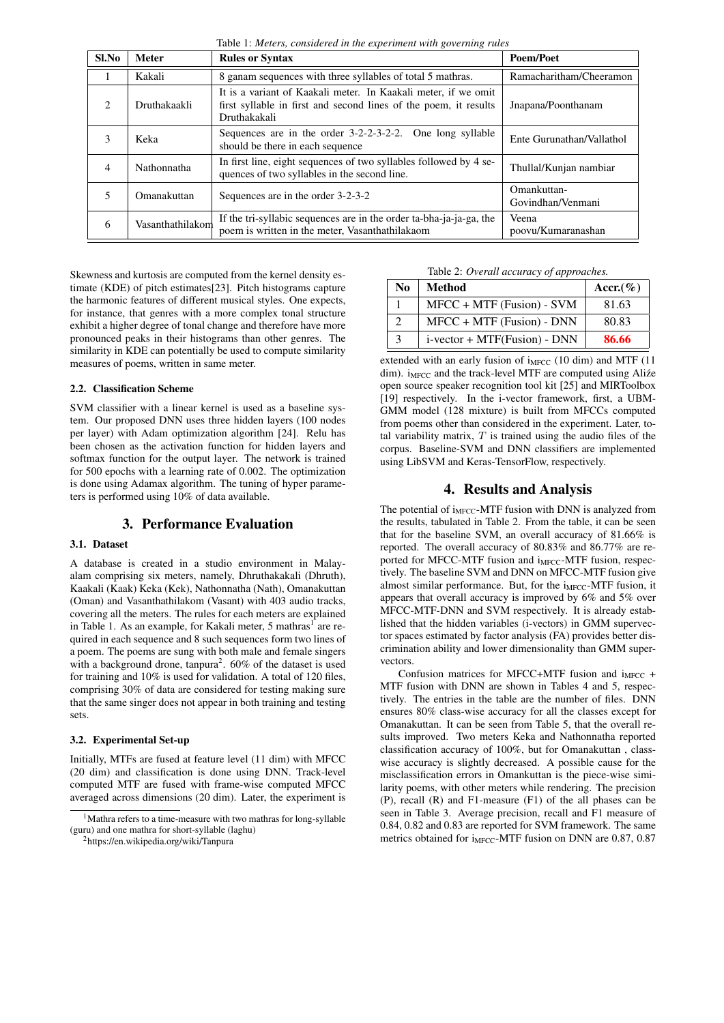Table 1: *Meters, considered in the experiment with governing rules*

| Sl.No          | <b>Meter</b>       | <b>Rules or Syntax</b>                                                                                                                             | <b>Poem/Poet</b>                 |  |  |
|----------------|--------------------|----------------------------------------------------------------------------------------------------------------------------------------------------|----------------------------------|--|--|
|                | Kakali             | 8 ganam sequences with three syllables of total 5 mathras.                                                                                         | Ramacharitham/Cheeramon          |  |  |
| 2              | Druthakaakli       | It is a variant of Kaakali meter. In Kaakali meter, if we omit<br>first syllable in first and second lines of the poem, it results<br>Druthakakali | Jnapana/Poonthanam               |  |  |
| 3              | Keka               | Sequences are in the order 3-2-2-3-2-2.<br>One long syllable<br>should be there in each sequence                                                   | Ente Gurunathan/Vallathol        |  |  |
| $\overline{4}$ | Nathonnatha        | In first line, eight sequences of two syllables followed by 4 se-<br>quences of two syllables in the second line.                                  | Thullal/Kunjan nambiar           |  |  |
| 5              | <b>Omanakuttan</b> | Sequences are in the order 3-2-3-2                                                                                                                 | Omankuttan-<br>Govindhan/Venmani |  |  |
| 6              | Vasanthathilakom   | If the tri-syllabic sequences are in the order ta-bha-ja-ja-ga, the<br>poem is written in the meter, Vasanthathilakaom                             | Veena<br>poovu/Kumaranashan      |  |  |

Skewness and kurtosis are computed from the kernel density estimate (KDE) of pitch estimates[23]. Pitch histograms capture the harmonic features of different musical styles. One expects, for instance, that genres with a more complex tonal structure exhibit a higher degree of tonal change and therefore have more pronounced peaks in their histograms than other genres. The similarity in KDE can potentially be used to compute similarity measures of poems, written in same meter.

### 2.2. Classification Scheme

SVM classifier with a linear kernel is used as a baseline system. Our proposed DNN uses three hidden layers (100 nodes per layer) with Adam optimization algorithm [24]. Relu has been chosen as the activation function for hidden layers and softmax function for the output layer. The network is trained for 500 epochs with a learning rate of 0.002. The optimization is done using Adamax algorithm. The tuning of hyper parameters is performed using 10% of data available.

### 3. Performance Evaluation

#### 3.1. Dataset

A database is created in a studio environment in Malayalam comprising six meters, namely, Dhruthakakali (Dhruth), Kaakali (Kaak) Keka (Kek), Nathonnatha (Nath), Omanakuttan (Oman) and Vasanthathilakom (Vasant) with 403 audio tracks, covering all the meters. The rules for each meters are explained in Table 1. As an example, for Kakali meter, 5 mathras<sup>1</sup> are required in each sequence and 8 such sequences form two lines of a poem. The poems are sung with both male and female singers with a background drone, tanpura<sup>2</sup>.  $60\%$  of the dataset is used for training and 10% is used for validation. A total of 120 files, comprising 30% of data are considered for testing making sure that the same singer does not appear in both training and testing sets.

### 3.2. Experimental Set-up

Initially, MTFs are fused at feature level (11 dim) with MFCC (20 dim) and classification is done using DNN. Track-level computed MTF are fused with frame-wise computed MFCC averaged across dimensions (20 dim). Later, the experiment is

Table 2: *Overall accuracy of approaches.*

| No            | Method                       | Accr. $(\% )$ |
|---------------|------------------------------|---------------|
|               | $MFCC + MTF$ (Fusion) - SVM  | 81.63         |
|               | $MFCC + MTF$ (Fusion) - DNN  | 80.83         |
| $\mathcal{F}$ | i-vector + MTF(Fusion) - DNN | 86.66         |

extended with an early fusion of  $i_{\text{MFCC}}$  (10 dim) and MTF (11 dim).  $i_{MFCC}$  and the track-level MTF are computed using Alize open source speaker recognition tool kit [25] and MIRToolbox [19] respectively. In the i-vector framework, first, a UBM-GMM model (128 mixture) is built from MFCCs computed from poems other than considered in the experiment. Later, total variability matrix,  $T$  is trained using the audio files of the corpus. Baseline-SVM and DNN classifiers are implemented using LibSVM and Keras-TensorFlow, respectively.

# 4. Results and Analysis

The potential of  $i_{\text{MFCC}}$ -MTF fusion with DNN is analyzed from the results, tabulated in Table 2. From the table, it can be seen that for the baseline SVM, an overall accuracy of 81.66% is reported. The overall accuracy of 80.83% and 86.77% are reported for MFCC-MTF fusion and i<sub>MFCC</sub>-MTF fusion, respectively. The baseline SVM and DNN on MFCC-MTF fusion give almost similar performance. But, for the i<sub>MFCC</sub>-MTF fusion, it appears that overall accuracy is improved by 6% and 5% over MFCC-MTF-DNN and SVM respectively. It is already established that the hidden variables (i-vectors) in GMM supervector spaces estimated by factor analysis (FA) provides better discrimination ability and lower dimensionality than GMM supervectors.

Confusion matrices for MFCC+MTF fusion and  $i_{MFCC}$  + MTF fusion with DNN are shown in Tables 4 and 5, respectively. The entries in the table are the number of files. DNN ensures 80% class-wise accuracy for all the classes except for Omanakuttan. It can be seen from Table 5, that the overall results improved. Two meters Keka and Nathonnatha reported classification accuracy of 100%, but for Omanakuttan , classwise accuracy is slightly decreased. A possible cause for the misclassification errors in Omankuttan is the piece-wise similarity poems, with other meters while rendering. The precision (P), recall (R) and F1-measure (F1) of the all phases can be seen in Table 3. Average precision, recall and F1 measure of 0.84, 0.82 and 0.83 are reported for SVM framework. The same metrics obtained for  $i_{\text{MFCC}}$ -MTF fusion on DNN are 0.87, 0.87

<sup>&</sup>lt;sup>1</sup>Mathra refers to a time-measure with two mathras for long-syllable (guru) and one mathra for short-syllable (laghu)

<sup>2</sup>https://en.wikipedia.org/wiki/Tanpura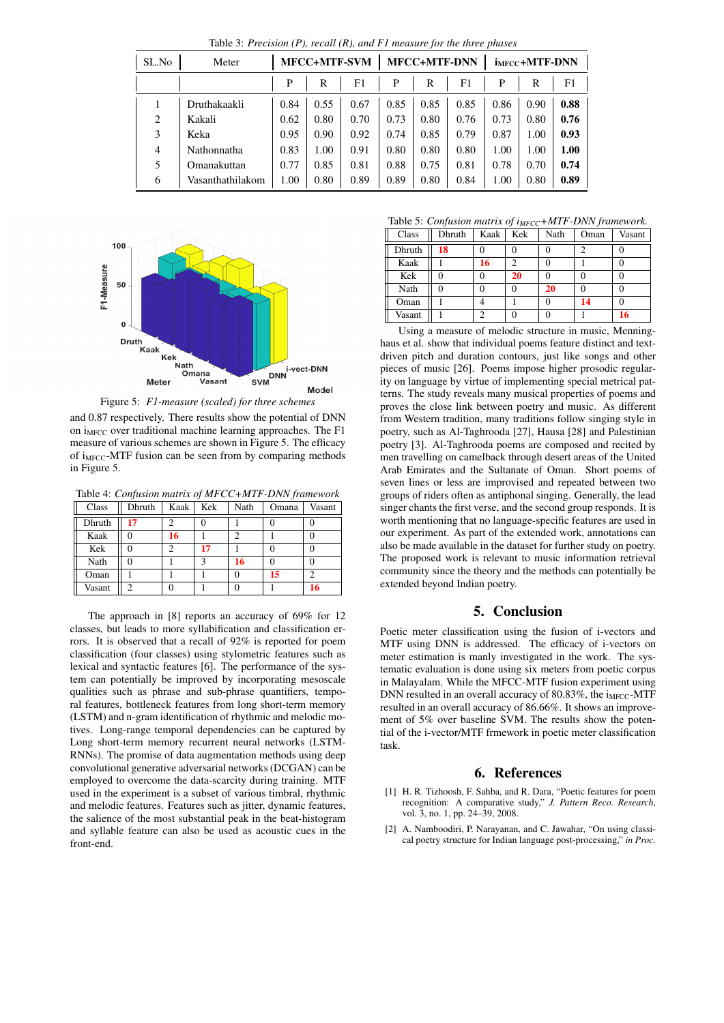| ,,,<br>$\cdot$<br>x |                  |                     |      |      |                     |      |      |                            |      |      |
|---------------------|------------------|---------------------|------|------|---------------------|------|------|----------------------------|------|------|
| SL.No               | Meter            | <b>MFCC+MTF-SVM</b> |      |      | <b>MFCC+MTF-DNN</b> |      |      | i <sub>MFCC</sub> +MTF-DNN |      |      |
|                     |                  | P                   | R    | F1   | P                   | R    | F1   | P                          | R    | F1   |
|                     | Druthakaakli     | 0.84                | 0.55 | 0.67 | 0.85                | 0.85 | 0.85 | 0.86                       | 0.90 | 0.88 |
| 2                   | Kakali           | 0.62                | 0.80 | 0.70 | 0.73                | 0.80 | 0.76 | 0.73                       | 0.80 | 0.76 |
| 3                   | Keka             | 0.95                | 0.90 | 0.92 | 0.74                | 0.85 | 0.79 | 0.87                       | 1.00 | 0.93 |
| $\overline{4}$      | Nathonnatha      | 0.83                | 1.00 | 0.91 | 0.80                | 0.80 | 0.80 | 1.00                       | 1.00 | 1.00 |
| 5                   | Omanakuttan      | 0.77                | 0.85 | 0.81 | 0.88                | 0.75 | 0.81 | 0.78                       | 0.70 | 0.74 |
| 6                   | Vasanthathilakom | 1.00                | 0.80 | 0.89 | 0.89                | 0.80 | 0.84 | 1.00                       | 0.80 | 0.89 |

Table 3: *Precision (P), recall (R), and F1 measure for the three phases*



Figure 5: *F1-measure (scaled) for three schemes*

and 0.87 respectively. There results show the potential of DNN on i<sub>MFCC</sub> over traditional machine learning approaches. The F1 measure of various schemes are shown in Figure 5. The efficacy of  $i_{MFCC}$ -MTF fusion can be seen from by comparing methods in Figure 5.

Table 4: *Confusion matrix of MFCC+MTF-DNN framework*

| Class  | Dhruth | Kaak | Kek          | Nath | Omana | Vasant |
|--------|--------|------|--------------|------|-------|--------|
| Dhruth | 17     |      |              |      |       |        |
| Kaak   |        | 16   |              |      |       |        |
| Kek    |        |      | 17           |      |       |        |
| Nath   |        |      | $\mathbf{3}$ | 16   |       |        |
| Oman   |        |      |              |      | 15    | 2      |
| Vasant |        |      |              |      |       |        |

The approach in [8] reports an accuracy of 69% for 12 classes, but leads to more syllabification and classification errors. It is observed that a recall of 92% is reported for poem classification (four classes) using stylometric features such as lexical and syntactic features [6]. The performance of the system can potentially be improved by incorporating mesoscale qualities such as phrase and sub-phrase quantifiers, temporal features, bottleneck features from long short-term memory (LSTM) and n-gram identification of rhythmic and melodic motives. Long-range temporal dependencies can be captured by Long short-term memory recurrent neural networks (LSTM-RNNs). The promise of data augmentation methods using deep convolutional generative adversarial networks (DCGAN) can be employed to overcome the data-scarcity during training. MTF used in the experiment is a subset of various timbral, rhythmic and melodic features. Features such as jitter, dynamic features, the salience of the most substantial peak in the beat-histogram and syllable feature can also be used as acoustic cues in the front-end.

Table 5: *Confusion matrix of i<sub>MECC</sub>*+*MTF-DNN framework* 

|        |        |      | $\cdots$ |      |      |        |
|--------|--------|------|----------|------|------|--------|
| Class  | Dhruth | Kaak | Kek      | Nath | Oman | Vasant |
| Dhruth | 18     |      |          |      | ∍    |        |
| Kaak   |        | 16   | 2        |      |      | O      |
| Kek    |        |      | 20       |      |      |        |
| Nath   |        |      | 0        | 20   |      |        |
| Oman   |        |      |          |      | 14   |        |
| Vasant |        |      |          |      |      | 16     |

Using a measure of melodic structure in music, Menninghaus et al. show that individual poems feature distinct and textdriven pitch and duration contours, just like songs and other pieces of music [26]. Poems impose higher prosodic regularity on language by virtue of implementing special metrical patterns. The study reveals many musical properties of poems and proves the close link between poetry and music. As different from Western tradition, many traditions follow singing style in poetry, such as Al-Taghrooda [27], Hausa [28] and Palestinian poetry [3]. Al-Taghrooda poems are composed and recited by men travelling on camelback through desert areas of the United Arab Emirates and the Sultanate of Oman. Short poems of seven lines or less are improvised and repeated between two groups of riders often as antiphonal singing. Generally, the lead singer chants the first verse, and the second group responds. It is worth mentioning that no language-specific features are used in our experiment. As part of the extended work, annotations can also be made available in the dataset for further study on poetry. The proposed work is relevant to music information retrieval community since the theory and the methods can potentially be extended beyond Indian poetry.

### 5. Conclusion

Poetic meter classification using the fusion of i-vectors and MTF using DNN is addressed. The efficacy of i-vectors on meter estimation is manly investigated in the work. The systematic evaluation is done using six meters from poetic corpus in Malayalam. While the MFCC-MTF fusion experiment using DNN resulted in an overall accuracy of  $80.83\%$ , the i<sub>MFCC</sub>-MTF resulted in an overall accuracy of 86.66%. It shows an improvement of 5% over baseline SVM. The results show the potential of the i-vector/MTF frmework in poetic meter classification task.

### 6. References

- [1] H. R. Tizhoosh, F. Sahba, and R. Dara, "Poetic features for poem recognition: A comparative study," *J. Pattern Reco. Research*, vol. 3, no. 1, pp. 24–39, 2008.
- [2] A. Namboodiri, P. Narayanan, and C. Jawahar, "On using classical poetry structure for Indian language post-processing," *in Proc.*